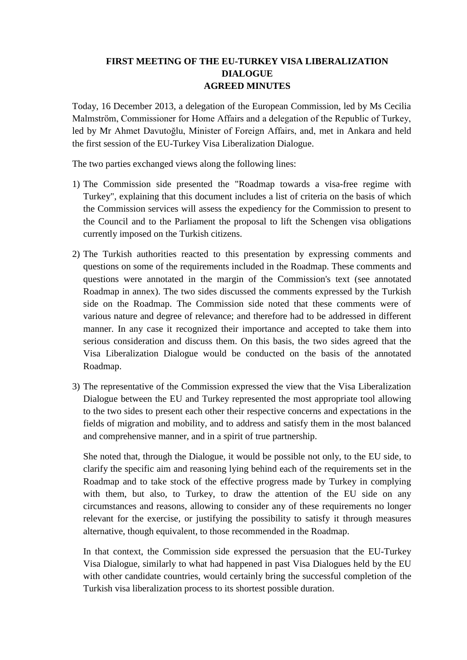# **FIRST MEETING OF THE EU-TURKEY VISA LIBERALIZATION DIALOGUE AGREED MINUTES**

Today, 16 December 2013, a delegation of the European Commission, led by Ms Cecilia Malmström, Commissioner for Home Affairs and a delegation of the Republic of Turkey, led by Mr Ahmet Davutoğlu, Minister of Foreign Affairs, and, met in Ankara and held the first session of the EU-Turkey Visa Liberalization Dialogue.

The two parties exchanged views along the following lines:

- 1) The Commission side presented the "Roadmap towards a visa-free regime with Turkey", explaining that this document includes a list of criteria on the basis of which the Commission services will assess the expediency for the Commission to present to the Council and to the Parliament the proposal to lift the Schengen visa obligations currently imposed on the Turkish citizens.
- 2) The Turkish authorities reacted to this presentation by expressing comments and questions on some of the requirements included in the Roadmap. These comments and questions were annotated in the margin of the Commission's text (see annotated Roadmap in annex). The two sides discussed the comments expressed by the Turkish side on the Roadmap. The Commission side noted that these comments were of various nature and degree of relevance; and therefore had to be addressed in different manner. In any case it recognized their importance and accepted to take them into serious consideration and discuss them. On this basis, the two sides agreed that the Visa Liberalization Dialogue would be conducted on the basis of the annotated Roadmap.
- 3) The representative of the Commission expressed the view that the Visa Liberalization Dialogue between the EU and Turkey represented the most appropriate tool allowing to the two sides to present each other their respective concerns and expectations in the fields of migration and mobility, and to address and satisfy them in the most balanced and comprehensive manner, and in a spirit of true partnership.

She noted that, through the Dialogue, it would be possible not only, to the EU side, to clarify the specific aim and reasoning lying behind each of the requirements set in the Roadmap and to take stock of the effective progress made by Turkey in complying with them, but also, to Turkey, to draw the attention of the EU side on any circumstances and reasons, allowing to consider any of these requirements no longer relevant for the exercise, or justifying the possibility to satisfy it through measures alternative, though equivalent, to those recommended in the Roadmap.

In that context, the Commission side expressed the persuasion that the EU-Turkey Visa Dialogue, similarly to what had happened in past Visa Dialogues held by the EU with other candidate countries, would certainly bring the successful completion of the Turkish visa liberalization process to its shortest possible duration.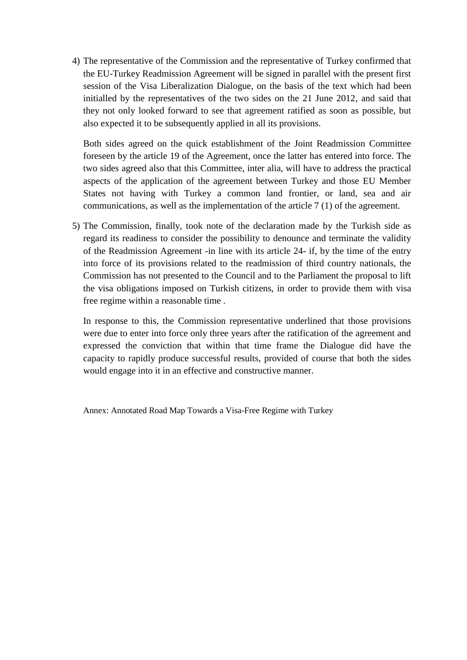4) The representative of the Commission and the representative of Turkey confirmed that the EU-Turkey Readmission Agreement will be signed in parallel with the present first session of the Visa Liberalization Dialogue, on the basis of the text which had been initialled by the representatives of the two sides on the 21 June 2012, and said that they not only looked forward to see that agreement ratified as soon as possible, but also expected it to be subsequently applied in all its provisions.

Both sides agreed on the quick establishment of the Joint Readmission Committee foreseen by the article 19 of the Agreement, once the latter has entered into force. The two sides agreed also that this Committee, inter alia, will have to address the practical aspects of the application of the agreement between Turkey and those EU Member States not having with Turkey a common land frontier, or land, sea and air communications, as well as the implementation of the article 7 (1) of the agreement.

5) The Commission, finally, took note of the declaration made by the Turkish side as regard its readiness to consider the possibility to denounce and terminate the validity of the Readmission Agreement -in line with its article 24- if, by the time of the entry into force of its provisions related to the readmission of third country nationals, the Commission has not presented to the Council and to the Parliament the proposal to lift the visa obligations imposed on Turkish citizens, in order to provide them with visa free regime within a reasonable time .

In response to this, the Commission representative underlined that those provisions were due to enter into force only three years after the ratification of the agreement and expressed the conviction that within that time frame the Dialogue did have the capacity to rapidly produce successful results, provided of course that both the sides would engage into it in an effective and constructive manner.

Annex: Annotated Road Map Towards a Visa-Free Regime with Turkey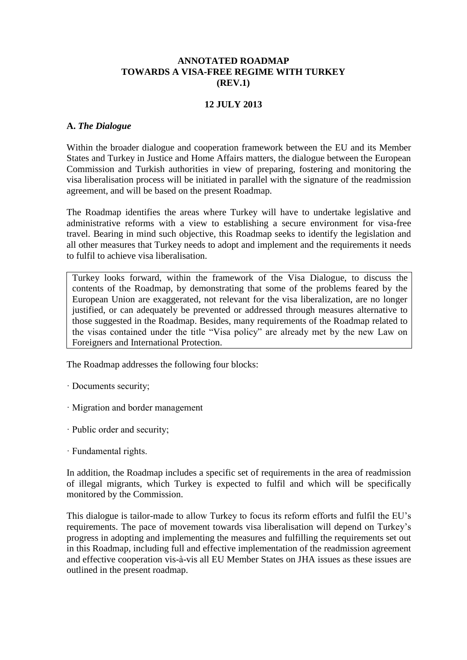### **ANNOTATED ROADMAP TOWARDS A VISA-FREE REGIME WITH TURKEY (REV.1)**

### **12 JULY 2013**

### **A.** *The Dialogue*

Within the broader dialogue and cooperation framework between the EU and its Member States and Turkey in Justice and Home Affairs matters, the dialogue between the European Commission and Turkish authorities in view of preparing, fostering and monitoring the visa liberalisation process will be initiated in parallel with the signature of the readmission agreement, and will be based on the present Roadmap.

The Roadmap identifies the areas where Turkey will have to undertake legislative and administrative reforms with a view to establishing a secure environment for visa-free travel. Bearing in mind such objective, this Roadmap seeks to identify the legislation and all other measures that Turkey needs to adopt and implement and the requirements it needs to fulfil to achieve visa liberalisation.

Turkey looks forward, within the framework of the Visa Dialogue, to discuss the contents of the Roadmap, by demonstrating that some of the problems feared by the European Union are exaggerated, not relevant for the visa liberalization, are no longer justified, or can adequately be prevented or addressed through measures alternative to those suggested in the Roadmap. Besides, many requirements of the Roadmap related to the visas contained under the title "Visa policy" are already met by the new Law on Foreigners and International Protection.

The Roadmap addresses the following four blocks:

- · Documents security;
- · Migration and border management
- · Public order and security;
- · Fundamental rights.

In addition, the Roadmap includes a specific set of requirements in the area of readmission of illegal migrants, which Turkey is expected to fulfil and which will be specifically monitored by the Commission.

This dialogue is tailor-made to allow Turkey to focus its reform efforts and fulfil the EU's requirements. The pace of movement towards visa liberalisation will depend on Turkey's progress in adopting and implementing the measures and fulfilling the requirements set out in this Roadmap, including full and effective implementation of the readmission agreement and effective cooperation vis-à-vis all EU Member States on JHA issues as these issues are outlined in the present roadmap.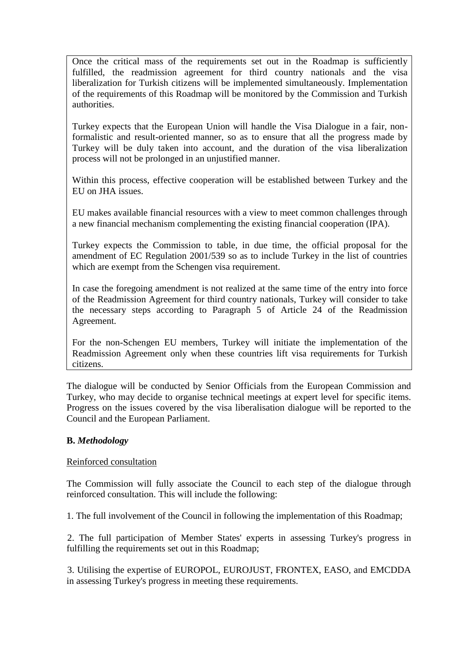Once the critical mass of the requirements set out in the Roadmap is sufficiently fulfilled, the readmission agreement for third country nationals and the visa liberalization for Turkish citizens will be implemented simultaneously. Implementation of the requirements of this Roadmap will be monitored by the Commission and Turkish authorities.

Turkey expects that the European Union will handle the Visa Dialogue in a fair, nonformalistic and result-oriented manner, so as to ensure that all the progress made by Turkey will be duly taken into account, and the duration of the visa liberalization process will not be prolonged in an unjustified manner.

Within this process, effective cooperation will be established between Turkey and the EU on JHA issues.

EU makes available financial resources with a view to meet common challenges through a new financial mechanism complementing the existing financial cooperation (IPA).

Turkey expects the Commission to table, in due time, the official proposal for the amendment of EC Regulation 2001/539 so as to include Turkey in the list of countries which are exempt from the Schengen visa requirement.

In case the foregoing amendment is not realized at the same time of the entry into force of the Readmission Agreement for third country nationals, Turkey will consider to take the necessary steps according to Paragraph 5 of Article 24 of the Readmission Agreement.

For the non-Schengen EU members, Turkey will initiate the implementation of the Readmission Agreement only when these countries lift visa requirements for Turkish citizens.

The dialogue will be conducted by Senior Officials from the European Commission and Turkey, who may decide to organise technical meetings at expert level for specific items. Progress on the issues covered by the visa liberalisation dialogue will be reported to the Council and the European Parliament.

## **B.** *Methodology*

### Reinforced consultation

The Commission will fully associate the Council to each step of the dialogue through reinforced consultation. This will include the following:

1. The full involvement of the Council in following the implementation of this Roadmap;

 2. The full participation of Member States' experts in assessing Turkey's progress in fulfilling the requirements set out in this Roadmap;

 3. Utilising the expertise of EUROPOL, EUROJUST, FRONTEX, EASO, and EMCDDA in assessing Turkey's progress in meeting these requirements.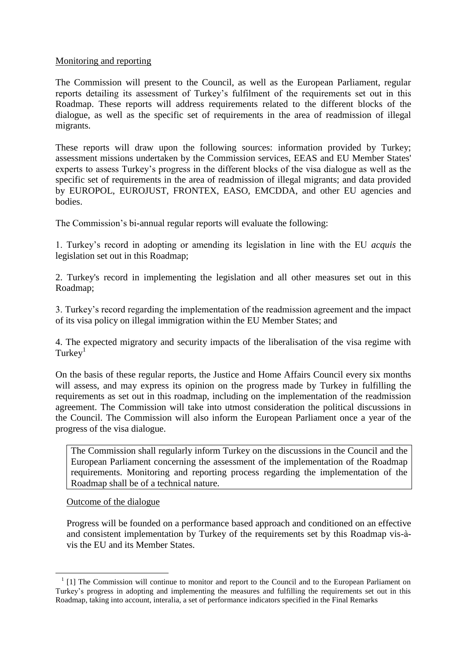### Monitoring and reporting

The Commission will present to the Council, as well as the European Parliament, regular reports detailing its assessment of Turkey's fulfilment of the requirements set out in this Roadmap. These reports will address requirements related to the different blocks of the dialogue, as well as the specific set of requirements in the area of readmission of illegal migrants.

These reports will draw upon the following sources: information provided by Turkey; assessment missions undertaken by the Commission services, EEAS and EU Member States' experts to assess Turkey's progress in the different blocks of the visa dialogue as well as the specific set of requirements in the area of readmission of illegal migrants; and data provided by EUROPOL, EUROJUST, FRONTEX, EASO, EMCDDA, and other EU agencies and bodies.

The Commission's bi-annual regular reports will evaluate the following:

1. Turkey's record in adopting or amending its legislation in line with the EU *acquis* the legislation set out in this Roadmap;

2. Turkey's record in implementing the legislation and all other measures set out in this Roadmap;

3. Turkey's record regarding the implementation of the readmission agreement and the impact of its visa policy on illegal immigration within the EU Member States; and

4. The expected migratory and security impacts of the liberalisation of the visa regime with  $Turkey<sup>1</sup>$ 

On the basis of these regular reports, the Justice and Home Affairs Council every six months will assess, and may express its opinion on the progress made by Turkey in fulfilling the requirements as set out in this roadmap, including on the implementation of the readmission agreement. The Commission will take into utmost consideration the political discussions in the Council. The Commission will also inform the European Parliament once a year of the progress of the visa dialogue.

The Commission shall regularly inform Turkey on the discussions in the Council and the European Parliament concerning the assessment of the implementation of the Roadmap requirements. Monitoring and reporting process regarding the implementation of the Roadmap shall be of a technical nature.

### Outcome of the dialogue

1

Progress will be founded on a performance based approach and conditioned on an effective and consistent implementation by Turkey of the requirements set by this Roadmap vis-àvis the EU and its Member States.

<sup>&</sup>lt;sup>1</sup> [1] The Commission will continue to monitor and report to the Council and to the European Parliament on Turkey's progress in adopting and implementing the measures and fulfilling the requirements set out in this Roadmap, taking into account, interalia, a set of performance indicators specified in the Final Remarks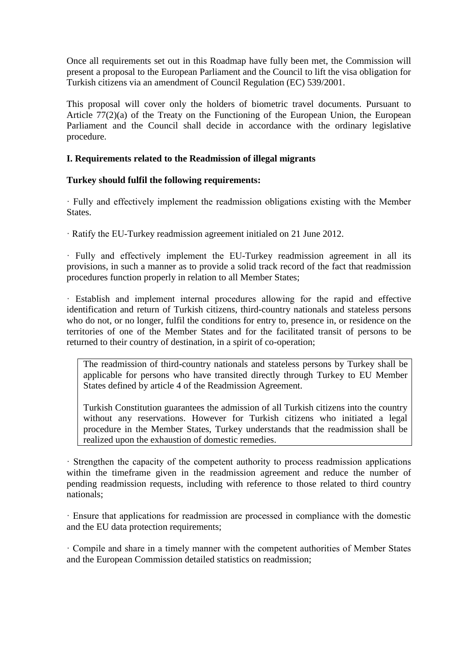Once all requirements set out in this Roadmap have fully been met, the Commission will present a proposal to the European Parliament and the Council to lift the visa obligation for Turkish citizens via an amendment of Council Regulation (EC) 539/2001.

This proposal will cover only the holders of biometric travel documents. Pursuant to Article 77(2)(a) of the Treaty on the Functioning of the European Union, the European Parliament and the Council shall decide in accordance with the ordinary legislative procedure.

## **I. Requirements related to the Readmission of illegal migrants**

## **Turkey should fulfil the following requirements:**

· Fully and effectively implement the readmission obligations existing with the Member States.

· Ratify the EU-Turkey readmission agreement initialed on 21 June 2012.

· Fully and effectively implement the EU-Turkey readmission agreement in all its provisions, in such a manner as to provide a solid track record of the fact that readmission procedures function properly in relation to all Member States;

· Establish and implement internal procedures allowing for the rapid and effective identification and return of Turkish citizens, third-country nationals and stateless persons who do not, or no longer, fulfil the conditions for entry to, presence in, or residence on the territories of one of the Member States and for the facilitated transit of persons to be returned to their country of destination, in a spirit of co-operation;

The readmission of third-country nationals and stateless persons by Turkey shall be applicable for persons who have transited directly through Turkey to EU Member States defined by article 4 of the Readmission Agreement.

Turkish Constitution guarantees the admission of all Turkish citizens into the country without any reservations. However for Turkish citizens who initiated a legal procedure in the Member States, Turkey understands that the readmission shall be realized upon the exhaustion of domestic remedies.

· Strengthen the capacity of the competent authority to process readmission applications within the timeframe given in the readmission agreement and reduce the number of pending readmission requests, including with reference to those related to third country nationals;

· Ensure that applications for readmission are processed in compliance with the domestic and the EU data protection requirements;

· Compile and share in a timely manner with the competent authorities of Member States and the European Commission detailed statistics on readmission;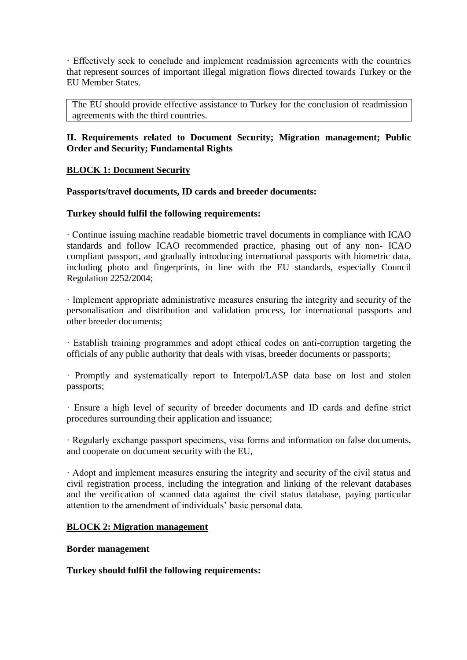· Effectively seek to conclude and implement readmission agreements with the countries that represent sources of important illegal migration flows directed towards Turkey or the EU Member States.

The EU should provide effective assistance to Turkey for the conclusion of readmission agreements with the third countries.

## **II. Requirements related to Document Security; Migration management; Public Order and Security; Fundamental Rights**

## **BLOCK 1: Document Security**

### **Passports/travel documents, ID cards and breeder documents:**

### **Turkey should fulfil the following requirements:**

· Continue issuing machine readable biometric travel documents in compliance with ICAO standards and follow ICAO recommended practice, phasing out of any non- ICAO compliant passport, and gradually introducing international passports with biometric data, including photo and fingerprints, in line with the EU standards, especially Council Regulation 2252/2004;

· Implement appropriate administrative measures ensuring the integrity and security of the personalisation and distribution and validation process, for international passports and other breeder documents;

· Establish training programmes and adopt ethical codes on anti-corruption targeting the officials of any public authority that deals with visas, breeder documents or passports;

· Promptly and systematically report to Interpol/LASP data base on lost and stolen passports;

· Ensure a high level of security of breeder documents and ID cards and define strict procedures surrounding their application and issuance;

· Regularly exchange passport specimens, visa forms and information on false documents, and cooperate on document security with the EU,

· Adopt and implement measures ensuring the integrity and security of the civil status and civil registration process, including the integration and linking of the relevant databases and the verification of scanned data against the civil status database, paying particular attention to the amendment of individuals' basic personal data.

### **BLOCK 2: Migration management**

#### **Border management**

### **Turkey should fulfil the following requirements:**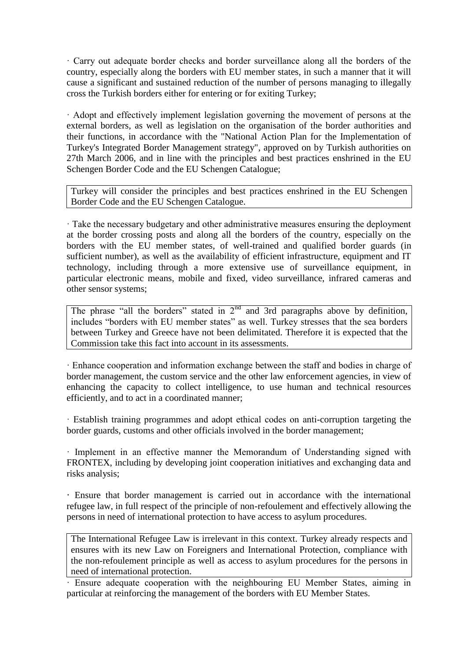· Carry out adequate border checks and border surveillance along all the borders of the country, especially along the borders with EU member states, in such a manner that it will cause a significant and sustained reduction of the number of persons managing to illegally cross the Turkish borders either for entering or for exiting Turkey;

· Adopt and effectively implement legislation governing the movement of persons at the external borders, as well as legislation on the organisation of the border authorities and their functions, in accordance with the "National Action Plan for the Implementation of Turkey's Integrated Border Management strategy", approved on by Turkish authorities on 27th March 2006, and in line with the principles and best practices enshrined in the EU Schengen Border Code and the EU Schengen Catalogue;

Turkey will consider the principles and best practices enshrined in the EU Schengen Border Code and the EU Schengen Catalogue.

· Take the necessary budgetary and other administrative measures ensuring the deployment at the border crossing posts and along all the borders of the country, especially on the borders with the EU member states, of well-trained and qualified border guards (in sufficient number), as well as the availability of efficient infrastructure, equipment and IT technology, including through a more extensive use of surveillance equipment, in particular electronic means, mobile and fixed, video surveillance, infrared cameras and other sensor systems;

The phrase "all the borders" stated in  $2<sup>nd</sup>$  and 3rd paragraphs above by definition, includes "borders with EU member states" as well. Turkey stresses that the sea borders between Turkey and Greece have not been delimitated. Therefore it is expected that the Commission take this fact into account in its assessments.

· Enhance cooperation and information exchange between the staff and bodies in charge of border management, the custom service and the other law enforcement agencies, in view of enhancing the capacity to collect intelligence, to use human and technical resources efficiently, and to act in a coordinated manner;

· Establish training programmes and adopt ethical codes on anti-corruption targeting the border guards, customs and other officials involved in the border management;

· Implement in an effective manner the Memorandum of Understanding signed with FRONTEX, including by developing joint cooperation initiatives and exchanging data and risks analysis;

**·** Ensure that border management is carried out in accordance with the international refugee law, in full respect of the principle of non-refoulement and effectively allowing the persons in need of international protection to have access to asylum procedures.

The International Refugee Law is irrelevant in this context. Turkey already respects and ensures with its new Law on Foreigners and International Protection, compliance with the non-refoulement principle as well as access to asylum procedures for the persons in need of international protection.

· Ensure adequate cooperation with the neighbouring EU Member States, aiming in particular at reinforcing the management of the borders with EU Member States.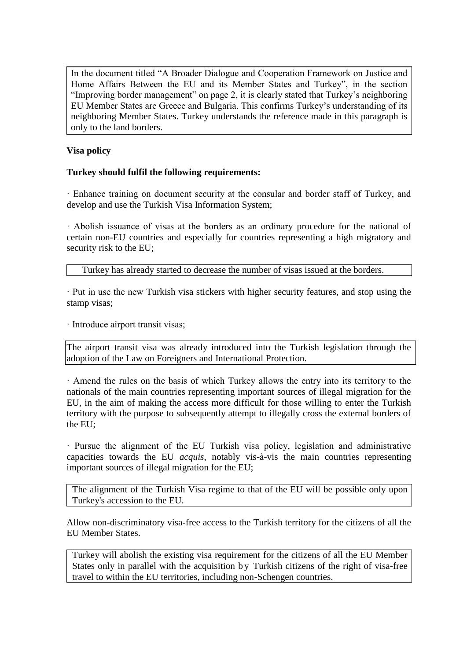In the document titled "A Broader Dialogue and Cooperation Framework on Justice and Home Affairs Between the EU and its Member States and Turkey", in the section "Improving border management" on page 2, it is clearly stated that Turkey's neighboring EU Member States are Greece and Bulgaria. This confirms Turkey's understanding of its neighboring Member States. Turkey understands the reference made in this paragraph is only to the land borders.

## **Visa policy**

## **Turkey should fulfil the following requirements:**

· Enhance training on document security at the consular and border staff of Turkey, and develop and use the Turkish Visa Information System;

· Abolish issuance of visas at the borders as an ordinary procedure for the national of certain non-EU countries and especially for countries representing a high migratory and security risk to the EU;

Turkey has already started to decrease the number of visas issued at the borders.

· Put in use the new Turkish visa stickers with higher security features, and stop using the stamp visas;

· Introduce airport transit visas;

The airport transit visa was already introduced into the Turkish legislation through the adoption of the Law on Foreigners and International Protection.

· Amend the rules on the basis of which Turkey allows the entry into its territory to the nationals of the main countries representing important sources of illegal migration for the EU, in the aim of making the access more difficult for those willing to enter the Turkish territory with the purpose to subsequently attempt to illegally cross the external borders of the EU;

· Pursue the alignment of the EU Turkish visa policy, legislation and administrative capacities towards the EU *acquis*, notably vis-à-vis the main countries representing important sources of illegal migration for the EU;

The alignment of the Turkish Visa regime to that of the EU will be possible only upon Turkey's accession to the EU.

Allow non-discriminatory visa-free access to the Turkish territory for the citizens of all the EU Member States.

Turkey will abolish the existing visa requirement for the citizens of all the EU Member States only in parallel with the acquisition by Turkish citizens of the right of visa-free travel to within the EU territories, including non-Schengen countries.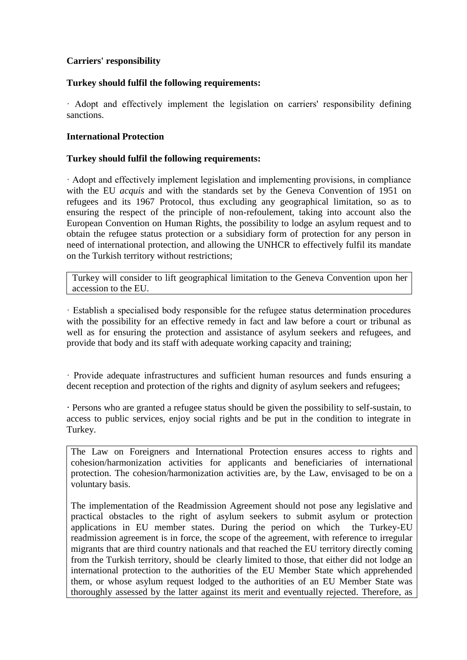## **Carriers' responsibility**

## **Turkey should fulfil the following requirements:**

· Adopt and effectively implement the legislation on carriers' responsibility defining sanctions.

## **International Protection**

### **Turkey should fulfil the following requirements:**

· Adopt and effectively implement legislation and implementing provisions, in compliance with the EU *acquis* and with the standards set by the Geneva Convention of 1951 on refugees and its 1967 Protocol, thus excluding any geographical limitation, so as to ensuring the respect of the principle of non-refoulement, taking into account also the European Convention on Human Rights, the possibility to lodge an asylum request and to obtain the refugee status protection or a subsidiary form of protection for any person in need of international protection, and allowing the UNHCR to effectively fulfil its mandate on the Turkish territory without restrictions;

Turkey will consider to lift geographical limitation to the Geneva Convention upon her accession to the EU.

· Establish a specialised body responsible for the refugee status determination procedures with the possibility for an effective remedy in fact and law before a court or tribunal as well as for ensuring the protection and assistance of asylum seekers and refugees, and provide that body and its staff with adequate working capacity and training;

· Provide adequate infrastructures and sufficient human resources and funds ensuring a decent reception and protection of the rights and dignity of asylum seekers and refugees;

**·** Persons who are granted a refugee status should be given the possibility to self-sustain, to access to public services, enjoy social rights and be put in the condition to integrate in Turkey.

The Law on Foreigners and International Protection ensures access to rights and cohesion/harmonization activities for applicants and beneficiaries of international protection. The cohesion/harmonization activities are, by the Law, envisaged to be on a voluntary basis.

The implementation of the Readmission Agreement should not pose any legislative and practical obstacles to the right of asylum seekers to submit asylum or protection applications in EU member states. During the period on which the Turkey-EU readmission agreement is in force, the scope of the agreement, with reference to irregular migrants that are third country nationals and that reached the EU territory directly coming from the Turkish territory, should be clearly limited to those, that either did not lodge an international protection to the authorities of the EU Member State which apprehended them, or whose asylum request lodged to the authorities of an EU Member State was thoroughly assessed by the latter against its merit and eventually rejected. Therefore, as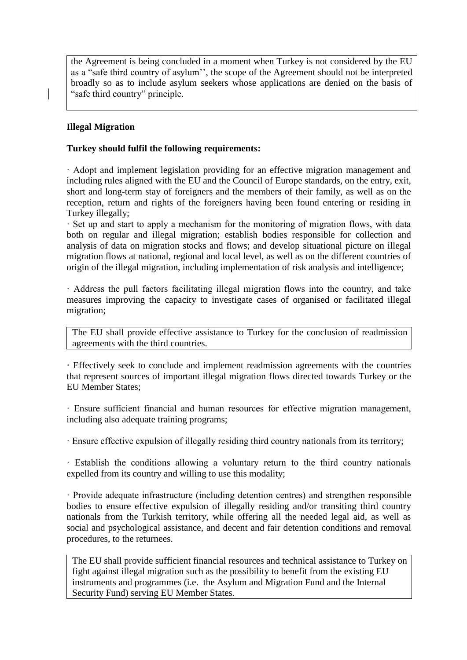the Agreement is being concluded in a moment when Turkey is not considered by the EU as a "safe third country of asylum'', the scope of the Agreement should not be interpreted broadly so as to include asylum seekers whose applications are denied on the basis of "safe third country" principle.

## **Illegal Migration**

### **Turkey should fulfil the following requirements:**

· Adopt and implement legislation providing for an effective migration management and including rules aligned with the EU and the Council of Europe standards, on the entry, exit, short and long-term stay of foreigners and the members of their family, as well as on the reception, return and rights of the foreigners having been found entering or residing in Turkey illegally;

· Set up and start to apply a mechanism for the monitoring of migration flows, with data both on regular and illegal migration; establish bodies responsible for collection and analysis of data on migration stocks and flows; and develop situational picture on illegal migration flows at national, regional and local level, as well as on the different countries of origin of the illegal migration, including implementation of risk analysis and intelligence;

· Address the pull factors facilitating illegal migration flows into the country, and take measures improving the capacity to investigate cases of organised or facilitated illegal migration;

The EU shall provide effective assistance to Turkey for the conclusion of readmission agreements with the third countries.

**·** Effectively seek to conclude and implement readmission agreements with the countries that represent sources of important illegal migration flows directed towards Turkey or the EU Member States;

· Ensure sufficient financial and human resources for effective migration management, including also adequate training programs;

· Ensure effective expulsion of illegally residing third country nationals from its territory;

· Establish the conditions allowing a voluntary return to the third country nationals expelled from its country and willing to use this modality;

· Provide adequate infrastructure (including detention centres) and strengthen responsible bodies to ensure effective expulsion of illegally residing and/or transiting third country nationals from the Turkish territory, while offering all the needed legal aid, as well as social and psychological assistance, and decent and fair detention conditions and removal procedures, to the returnees.

The EU shall provide sufficient financial resources and technical assistance to Turkey on fight against illegal migration such as the possibility to benefit from the existing EU instruments and programmes (i.e. the Asylum and Migration Fund and the Internal Security Fund) serving EU Member States.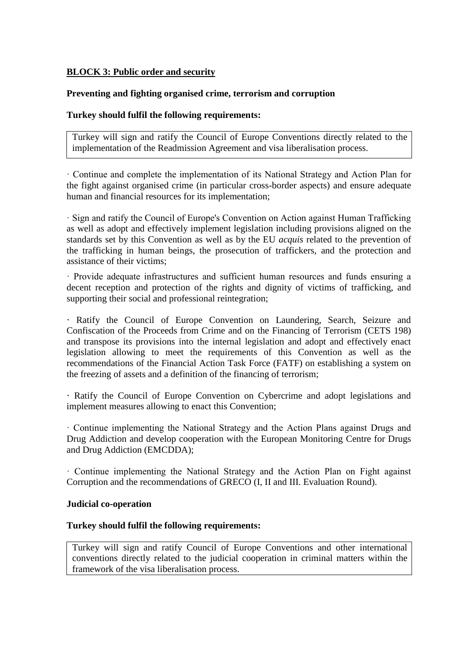## **BLOCK 3: Public order and security**

## **Preventing and fighting organised crime, terrorism and corruption**

### **Turkey should fulfil the following requirements:**

Turkey will sign and ratify the Council of Europe Conventions directly related to the implementation of the Readmission Agreement and visa liberalisation process.

· Continue and complete the implementation of its National Strategy and Action Plan for the fight against organised crime (in particular cross-border aspects) and ensure adequate human and financial resources for its implementation;

· Sign and ratify the Council of Europe's Convention on Action against Human Trafficking as well as adopt and effectively implement legislation including provisions aligned on the standards set by this Convention as well as by the EU *acquis* related to the prevention of the trafficking in human beings, the prosecution of traffickers, and the protection and assistance of their victims;

· Provide adequate infrastructures and sufficient human resources and funds ensuring a decent reception and protection of the rights and dignity of victims of trafficking, and supporting their social and professional reintegration;

**·** Ratify the Council of Europe Convention on Laundering, Search, Seizure and Confiscation of the Proceeds from Crime and on the Financing of Terrorism (CETS 198) and transpose its provisions into the internal legislation and adopt and effectively enact legislation allowing to meet the requirements of this Convention as well as the recommendations of the Financial Action Task Force (FATF) on establishing a system on the freezing of assets and a definition of the financing of terrorism;

**·** Ratify the Council of Europe Convention on Cybercrime and adopt legislations and implement measures allowing to enact this Convention;

· Continue implementing the National Strategy and the Action Plans against Drugs and Drug Addiction and develop cooperation with the European Monitoring Centre for Drugs and Drug Addiction (EMCDDA);

· Continue implementing the National Strategy and the Action Plan on Fight against Corruption and the recommendations of GRECO (I, II and III. Evaluation Round).

### **Judicial co-operation**

### **Turkey should fulfil the following requirements:**

Turkey will sign and ratify Council of Europe Conventions and other international conventions directly related to the judicial cooperation in criminal matters within the framework of the visa liberalisation process.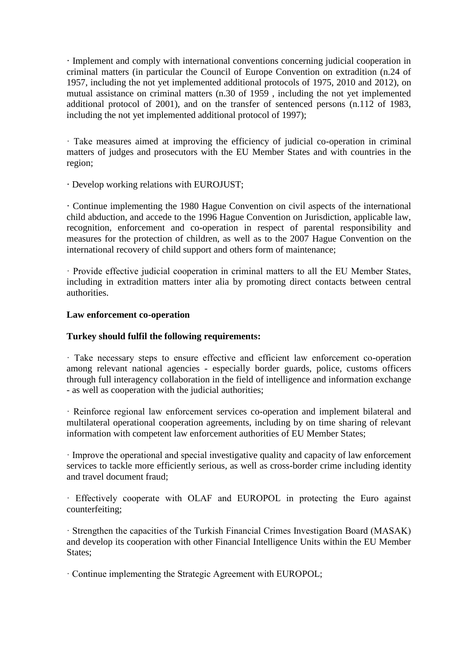**·** Implement and comply with international conventions concerning judicial cooperation in criminal matters (in particular the Council of Europe Convention on extradition (n.24 of 1957, including the not yet implemented additional protocols of 1975, 2010 and 2012), on mutual assistance on criminal matters (n.30 of 1959 , including the not yet implemented additional protocol of 2001), and on the transfer of sentenced persons (n.112 of 1983, including the not yet implemented additional protocol of 1997);

· Take measures aimed at improving the efficiency of judicial co-operation in criminal matters of judges and prosecutors with the EU Member States and with countries in the region;

**·** Develop working relations with EUROJUST;

**·** Continue implementing the 1980 Hague Convention on civil aspects of the international child abduction, and accede to the 1996 Hague Convention on Jurisdiction, applicable law, recognition, enforcement and co-operation in respect of parental responsibility and measures for the protection of children, as well as to the 2007 Hague Convention on the international recovery of child support and others form of maintenance;

· Provide effective judicial cooperation in criminal matters to all the EU Member States, including in extradition matters inter alia by promoting direct contacts between central authorities.

### **Law enforcement co-operation**

### **Turkey should fulfil the following requirements:**

· Take necessary steps to ensure effective and efficient law enforcement co-operation among relevant national agencies - especially border guards, police, customs officers through full interagency collaboration in the field of intelligence and information exchange - as well as cooperation with the judicial authorities;

· Reinforce regional law enforcement services co-operation and implement bilateral and multilateral operational cooperation agreements, including by on time sharing of relevant information with competent law enforcement authorities of EU Member States;

· Improve the operational and special investigative quality and capacity of law enforcement services to tackle more efficiently serious, as well as cross-border crime including identity and travel document fraud;

· Effectively cooperate with OLAF and EUROPOL in protecting the Euro against counterfeiting;

· Strengthen the capacities of the Turkish Financial Crimes Investigation Board (MASAK) and develop its cooperation with other Financial Intelligence Units within the EU Member States:

· Continue implementing the Strategic Agreement with EUROPOL;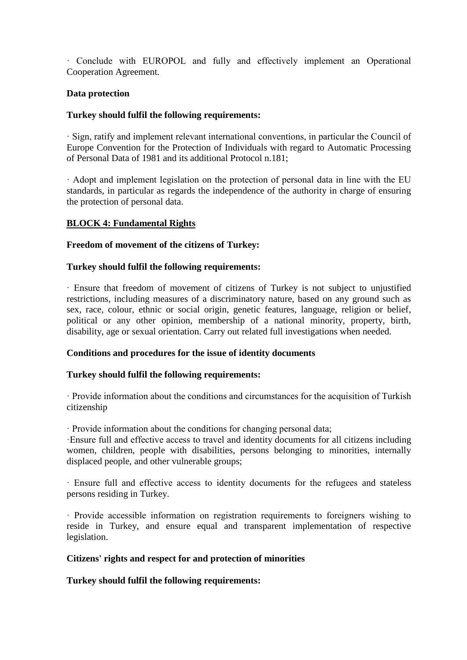· Conclude with EUROPOL and fully and effectively implement an Operational Cooperation Agreement.

### **Data protection**

## **Turkey should fulfil the following requirements:**

· Sign, ratify and implement relevant international conventions, in particular the Council of Europe Convention for the Protection of Individuals with regard to Automatic Processing of Personal Data of 1981 and its additional Protocol n.181;

· Adopt and implement legislation on the protection of personal data in line with the EU standards, in particular as regards the independence of the authority in charge of ensuring the protection of personal data.

### **BLOCK 4: Fundamental Rights**

### **Freedom of movement of the citizens of Turkey:**

### **Turkey should fulfil the following requirements:**

· Ensure that freedom of movement of citizens of Turkey is not subject to unjustified restrictions, including measures of a discriminatory nature, based on any ground such as sex, race, colour, ethnic or social origin, genetic features, language, religion or belief, political or any other opinion, membership of a national minority, property, birth, disability, age or sexual orientation. Carry out related full investigations when needed.

### **Conditions and procedures for the issue of identity documents**

### **Turkey should fulfil the following requirements:**

· Provide information about the conditions and circumstances for the acquisition of Turkish citizenship

· Provide information about the conditions for changing personal data;

·Ensure full and effective access to travel and identity documents for all citizens including women, children, people with disabilities, persons belonging to minorities, internally displaced people, and other vulnerable groups;

· Ensure full and effective access to identity documents for the refugees and stateless persons residing in Turkey.

· Provide accessible information on registration requirements to foreigners wishing to reside in Turkey, and ensure equal and transparent implementation of respective legislation.

### **Citizens' rights and respect for and protection of minorities**

**Turkey should fulfil the following requirements:**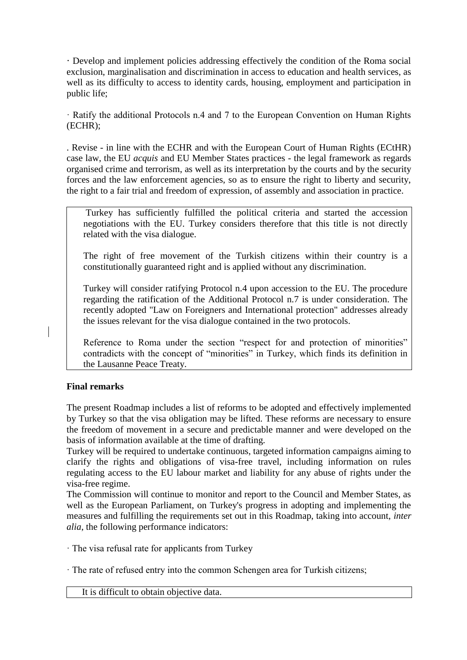**·** Develop and implement policies addressing effectively the condition of the Roma social exclusion, marginalisation and discrimination in access to education and health services, as well as its difficulty to access to identity cards, housing, employment and participation in public life;

· Ratify the additional Protocols n.4 and 7 to the European Convention on Human Rights (ECHR);

. Revise - in line with the ECHR and with the European Court of Human Rights (ECtHR) case law, the EU *acquis* and EU Member States practices - the legal framework as regards organised crime and terrorism, as well as its interpretation by the courts and by the security forces and the law enforcement agencies, so as to ensure the right to liberty and security, the right to a fair trial and freedom of expression, of assembly and association in practice.

Turkey has sufficiently fulfilled the political criteria and started the accession negotiations with the EU. Turkey considers therefore that this title is not directly related with the visa dialogue.

The right of free movement of the Turkish citizens within their country is a constitutionally guaranteed right and is applied without any discrimination.

Turkey will consider ratifying Protocol n.4 upon accession to the EU. The procedure regarding the ratification of the Additional Protocol n.7 is under consideration. The recently adopted "Law on Foreigners and International protection" addresses already the issues relevant for the visa dialogue contained in the two protocols.

Reference to Roma under the section "respect for and protection of minorities" contradicts with the concept of "minorities" in Turkey, which finds its definition in the Lausanne Peace Treaty.

## **Final remarks**

The present Roadmap includes a list of reforms to be adopted and effectively implemented by Turkey so that the visa obligation may be lifted. These reforms are necessary to ensure the freedom of movement in a secure and predictable manner and were developed on the basis of information available at the time of drafting.

Turkey will be required to undertake continuous, targeted information campaigns aiming to clarify the rights and obligations of visa-free travel, including information on rules regulating access to the EU labour market and liability for any abuse of rights under the visa-free regime.

The Commission will continue to monitor and report to the Council and Member States, as well as the European Parliament, on Turkey's progress in adopting and implementing the measures and fulfilling the requirements set out in this Roadmap, taking into account, *inter alia*, the following performance indicators:

· The visa refusal rate for applicants from Turkey

· The rate of refused entry into the common Schengen area for Turkish citizens;

It is difficult to obtain objective data.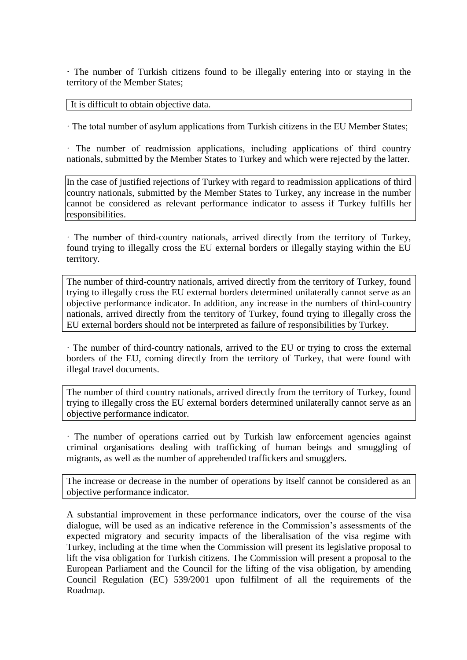**·** The number of Turkish citizens found to be illegally entering into or staying in the territory of the Member States;

It is difficult to obtain objective data.

· The total number of asylum applications from Turkish citizens in the EU Member States;

· The number of readmission applications, including applications of third country nationals, submitted by the Member States to Turkey and which were rejected by the latter.

In the case of justified rejections of Turkey with regard to readmission applications of third country nationals, submitted by the Member States to Turkey, any increase in the number cannot be considered as relevant performance indicator to assess if Turkey fulfills her responsibilities.

· The number of third-country nationals, arrived directly from the territory of Turkey, found trying to illegally cross the EU external borders or illegally staying within the EU territory.

The number of third-country nationals, arrived directly from the territory of Turkey, found trying to illegally cross the EU external borders determined unilaterally cannot serve as an objective performance indicator. In addition, any increase in the numbers of third-country nationals, arrived directly from the territory of Turkey, found trying to illegally cross the EU external borders should not be interpreted as failure of responsibilities by Turkey.

· The number of third-country nationals, arrived to the EU or trying to cross the external borders of the EU, coming directly from the territory of Turkey, that were found with illegal travel documents.

The number of third country nationals, arrived directly from the territory of Turkey, found trying to illegally cross the EU external borders determined unilaterally cannot serve as an objective performance indicator.

· The number of operations carried out by Turkish law enforcement agencies against criminal organisations dealing with trafficking of human beings and smuggling of migrants, as well as the number of apprehended traffickers and smugglers.

The increase or decrease in the number of operations by itself cannot be considered as an objective performance indicator.

A substantial improvement in these performance indicators, over the course of the visa dialogue, will be used as an indicative reference in the Commission's assessments of the expected migratory and security impacts of the liberalisation of the visa regime with Turkey, including at the time when the Commission will present its legislative proposal to lift the visa obligation for Turkish citizens. The Commission will present a proposal to the European Parliament and the Council for the lifting of the visa obligation, by amending Council Regulation (EC) 539/2001 upon fulfilment of all the requirements of the Roadmap.